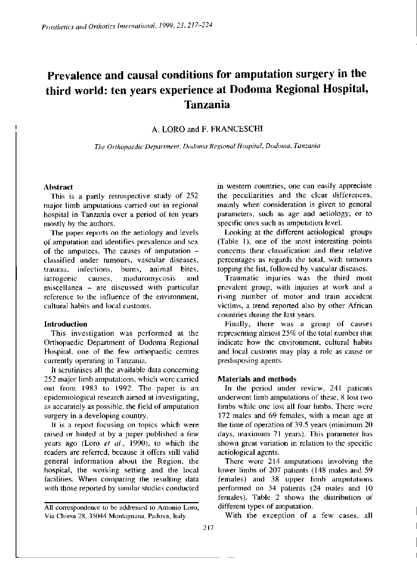# **Prevalence and causal conditions for amputation surgery in the third world: ten years experience at Dodoma Regional Hospital, Tanzania**

A. LORO and F. FRANCESCHI

*The Orthopaedic Department, Dodoma Regional Hospital, Dodoma, Tanzania* 

#### **Abstract**

This is a partly retrospective study of 252 major limb amputations carried out in regional hospital in Tanzania over a period of ten years mostly by the authors.

The paper reports on the aetiology and levels of amputation and identifies prevalence and sex of the amputees. The causes of amputation classified under tumours, vascular diseases, trauma, infections, burns, animal bites, iatrogenic causes, maduromycosis and miscellanea — are discussed with particular reference to the influence of the environment, cultural habits and local customs.

# **Introduction**

This investigation was performed at the Orthopaedic Department of Dodoma Regional Hospital, one of the few orthopaedic centres currently operating in Tanzania.

It scrutinises all the available data concerning 252 major limb amputations, which were carried out from 1983 to 1992. The paper is an epidemiological research aimed at investigating, as accurately as possible, the field of amputation surgery in a developing country.

It is a report focusing on topics which were raised or hinted at by a paper published a few years ago (Loro *et al.,* 1990), to which the readers are referred, because it offers still valid general information about the Region, the hospital, the working setting and the local facilities. When comparing the resulting data with those reported by similar studies conducted

in western countries, one can easily appreciate the peculiarities and the clear differences, mainly when consideration is given to general parameters, such as age and aetiology, or to specific ones such as amputation level.

Looking at the different aetiological groups (Table 1), one of the most interesting points concerns their classification and their relative percentages as regards the total, with tumours topping the list, followed by vascular diseases.

Traumatic injuries was the third most prevalent group, with injuries at work and a rising number of motor and train accident victims, a trend reported also by other African countries during the last years.

Finally, there was a group of causes representing almost 25% of the total number that indicate how the environment, cultural habits and local customs may play a role as cause or predisposing agents.

# **Materials and methods**

In the period under review, 241 patients underwent limb amputations of these, 8 lost two limbs while one lost all four limbs. There were 172 males and 69 females, with a mean age at the time of operation of 39.5 years (minimum 20 days, maximum 71 years). This parameter has shown great variation in relation to the specific aetiological agents.

There were 214 amputations involving the lower limbs of 207 patients (148 males and 59 females) and 38 upper limb amputations performed on 34 patients (24 males and 10 females). Table 2 shows the distribution of different types of amputation.

With the exception of a few cases, all

**AU correspondence to be addressed to Antonio Loro, Via Chiesa 28, 35044 Montagnana, Padova, Italy.**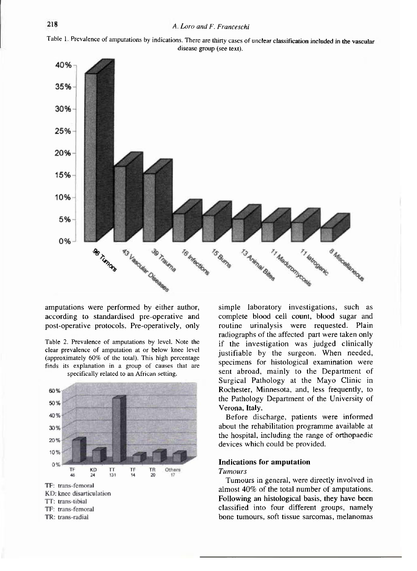



amputations were performed by either author, according to standardised pre-operative and post-operative protocols. Pre-operatively, only





TR: trans-radial

simple laboratory investigations, such as complete blood cell count, blood sugar and routine urinalysis were requested. Plain radiographs of the affected part were taken only if the investigation was judged clinically justifiable by the surgeon. When needed, specimens for histological examination were sent abroad, mainly to the Department of Surgical Pathology at the Mayo Clinic in Rochester, Minnesota, and, less frequently, to the Pathology Department of the University of Verona, Italy.

Before discharge, patients were informed about the rehabilitation programme available at the hospital, including the range of orthopaedic devices which could be provided.

# **Indications for amputation**

## *Tumours*

Tumours in general, were directly involved in almost 40% of the total number of amputations. Following an histological basis, they have been classified into four different groups, namely bone tumours, soft tissue sarcomas, melanomas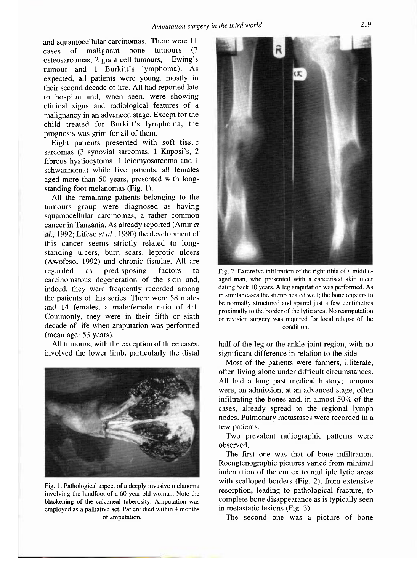and squamocellular carcinomas. There were 11 cases of malignant bone tumours (7 osteosarcomas, 2 giant cell tumours, 1 Ewing's tumour and 1 Burkitt's lymphoma). As expected, all patients were young, mostly in their second decade of life. All had reported late to hospital and, when seen, were showing clinical signs and radiological features of a malignancy in an advanced stage. Except for the child treated for Burkitt's lymphoma, the prognosis was grim for all of them.

Eight patients presented with soft tissue sarcomas (3 synovial sarcomas, 1 Kaposi's, 2 fibrous hystiocytoma, 1 leiomyosarcoma and 1 schwannoma) while five patients, all females aged more than 50 years, presented with longstanding foot melanomas (Fig. 1).

All the remaining patients belonging to the tumours group were diagnosed as having squamocellular carcinomas, a rather common cancer in Tanzania. As already reported (Amir et 1992; Lifeso *et al.,* 1990) the development of this cancer seems strictly related to longstanding ulcers, burn scars, leprotic ulcers (Awofeso, 1992) and chronic fistulae. All are regarded as predisposing factors to carcinomatous degeneration of the skin and, indeed, they were frequently recorded among the patients of this series. There were 58 males and 14 females, a male:female ratio of 4:1. Commonly, they were in their fifth or sixth decade of life when amputation was performed (mean age: 53 years).

All tumours, with the exception of three cases, involved the lower limb, particularly the distal



**Fig. 1. Pathological aspect of a deeply invasive melanoma involving the hindfoot of a 60-year-old woman. Note the blackening of the calcaneal tuberosity. Amputation was employed as a palliative act. Patient died within 4 months of amputation.** 



**Fig. 2. Extensive infrltration of the right tibia of a middleaged man, who presented with a cancerised skin ulcer dating back 10 years. A leg amputation was performed. As in similar cases the stump healed well; the bone appears to be normally structured and spared just a few centimetres proximally to the border of the lytic area. No reamputation or revision surgery was required for local relapse of the condition.** 

half of the leg or the ankle joint region, with no significant difference in relation to the side.

Most of the patients were farmers, illiterate, often living alone under difficult circumstances. All had a long past medical history; tumours were, on admission, at an advanced stage, often infiltrating the bones and, in almost 50% of the cases, already spread to the regional lymph nodes. Pulmonary metastases were recorded in a few patients.

Two prevalent radiographic patterns were observed.

The first one was that of bone infiltration. Roengtenographic pictures varied from minimal indentation of the cortex to multiple lytic areas with scalloped borders (Fig. 2), from extensive resorption, leading to pathological fracture, to complete bone disappearance as is typically seen in metastatic lesions (Fig. 3).

The second one was a picture of bone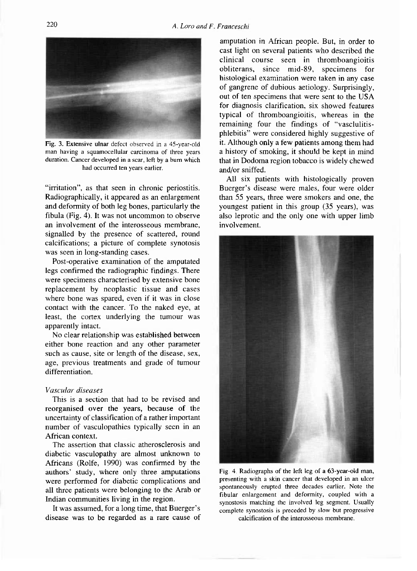

**Fig. 3. Extensive ulnar defect observed in a 45-year-old man having a squamocellular carcinoma of three years duration. Cancer developed in a scar, left by a burn which had occurred ten years earlier.** 

"irritation", as that seen in chronic periostitis. Radiographically, it appeared as an enlargement and deformity of both leg bones, particularly the fibula (Fig. 4). It was not uncommon to observe an involvement of the interosseous membrane, signalled by the presence of scattered, round calcifications; a picture of complete synotosis was seen in long-standing cases.

Post-operative examination of the amputated legs confirmed the radiographic findings. There were specimens characterised by extensive bone replacement by neoplastic tissue and cases where bone was spared, even if it was in close contact with the cancer. To the naked eye, at least, the cortex underlying the tumour was apparently intact.

No clear relationship was established between either bone reaction and any other parameter such as cause, site or length of the disease, sex, age, previous treatments and grade of tumour differentiation.

# *Vascular diseases*

This is a section that had to be revised and reorganised over the years, because of the uncertainty of classification of a rather important number of vasculopathies typically seen in an African context.

The assertion that classic atherosclerosis and diabetic vasculopathy are almost unknown to Africans (Rolfe, 1990) was confirmed by the authors' study, where only three amputations were performed for diabetic complications and all three patients were belonging to the Arab or Indian communities living in the region.

It was assumed, for a long time, that Buerger's disease was to be regarded as a rare cause of

amputation in African people. But, in order to cast light on several patients who described the clinical course seen in thromboangioitis obliterans, since mid-89, specimens for histological examination were taken in any case of gangrene of dubious aetiology. Surprisingly, out of ten specimens that were sent to the USA for diagnosis clarification, six showed features typical of thromboangioitis, whereas in the remaining four the findings of "vasclulitisphlebitis" were considered highly suggestive of it. Although only a few patients among them had a history of smoking, it should be kept in mind that in Dodoma region tobacco is widely chewed and/or sniffed.

All six patients with histologically proven Buerger's disease were males, four were older than 55 years, three were smokers and one, the youngest patient in this group (35 years), was also leprotic and the only one with upper limb involvement.



**Fig. 4. Radiographs of the left leg of a 63-year-old man, presenting with a skin cancer that developed in an ulccr spontaneously erupted three decades earlier. Note the fibular enlargement and deformity, coupled with a synostosis matching the involved leg segment. Usually complete synostosis is preceded by slow but progressive** 

**calcification of the interosseous membrane.**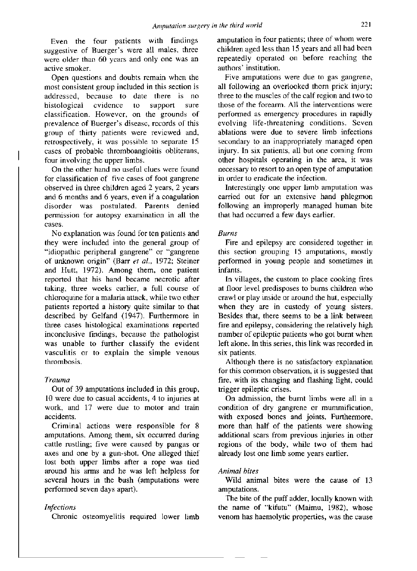Even the four patients with findings suggestive of Buerger's were all males, three were older than 60 years and only one was an active smoker.

Open questions and doubts remain when the most consistent group included in this section is addressed, because to date there is no histological evidence to support sure classification. However, on the grounds of prevalence of Buerger's disease, records of this group of thirty patients were reviewed and, retrospectively, it was possible to separate 15 cases of probable thromboangioitis obliterans, four involving the upper limbs.

On the other hand no useful clues were found for classification of five cases of foot gangrene observed in three children aged 2 years, 2 years and 6 months and 6 years, even if a coagulation disorder was postulated. Parents denied permission for autopsy examination in all the cases.

No explanation was found for ten patients and they were included into the general group of "idiopathic peripheral gangrene" or "gangrene of uaknown origin" (Barr *et al.,* 1972; Steiner and Hutt, 1972). Among them, one patient reported that his hand became necrotic after taking, three weeks earlier, a full course of chloroquine for a malaria attack, while two other patients reported a history quite similar to that described by Gelfand (1947). Furthermore in three cases histological examinations reported inconclusive findings, because the pathologist was unable to further classify the evident vasculitis or to explain the simple venous thrombosis.

# *Trauma*

Out of 39 amputations included in this group, 10 were due to casual accidents, 4 to injuries at work, and 17 were due to motor and train accidents.

Criminal actions were responsible for 8 amputations. Among them, six occurred during cattle rustling; five were caused by pangas or axes and one by a gun-shot. One alleged thief lost both upper limbs after a rope was tied around his arms and he was left helpless for several hours in the bush (amputations were performed seven days apart).

# *Infections*

Chronic osteomyelitis required lower limb

amputation in four patients; three of whom were children aged less than 15 years and all had been repeatedly operated on before reaching the authors' institution.

Five amputations were due to gas gangrene, all following an overlooked thorn prick injury; three to the muscles of the calf region and two to those of the forearm. All the interventions were performed as emergency procedures in rapidly evolving life-threatening conditions. Seven ablations were due to severe limb infections secondary to an inappropriately managed open injury. In six patients, all but one coming from other hospitals operating in the area, it was necessary to resort to an open type of amputation in order to eradicate the infection.

Interestingly one upper limb amputation was carried out for an extensive hand phlegmon following an improperly managed human bite that had occurred a few days earlier.

# *Burns*

Fire and epilepsy are considered together in this section grouping 15 amputations, mostly performed in young people and sometimes in infants.

In villages, the custom to place cooking fires at floor level predisposes to burns children who crawl or play inside or around the hut, especially when they are in custody of young sisters. Besides that, there seems to be a link between fire and epilepsy, considering the relatively high number of epileptic patients who got burnt when left alone. In this series, this link was recorded in six patients.

Although there is no satisfactory explanation for this common observation, it is suggested that fire, with its changing and flashing light, could trigger epileptic crises.

On admission, the burnt limbs were all in a condition of dry gangrene or mummification, with exposed bones and joints. Furthermore, more than half of the patients were showing additional scars from previous injuries in other regions of the body, while two of them had already lost one limb some years earlier.

# *Animal bites*

Wild animal bites were the cause of 13 amputations.

The bite of the puff adder, locally known with the name of "kifutu" (Maimu, 1982), whose venom has haemolytic properties, was the cause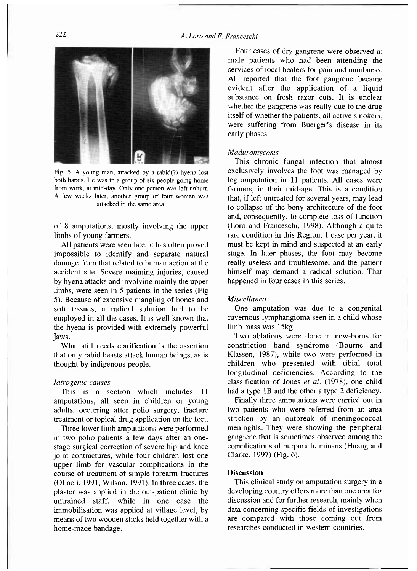

**Fig. 5. A young man, attacked by a rabid(?) hyena lost both hands. He was in a group of six people going home from work, at mid-day. Only one person was left unhurt. A few weeks later, another group of four women was attacked in the same area.** 

of 8 amputations, mostly involving the upper limbs of young farmers.

All patients were seen late; it has often proved impossible to identify and separate natural damage from that related to human action at the accident site. Severe maiming injuries, caused by hyena attacks and involving mainly the upper limbs, were seen in 5 patients in the series (Fig 5). Because of extensive mangling of bones and soft tissues, a radical solution had to be employed in all the cases. It is well known that the hyena is provided with extremely powerful jaws.

What still needs clarification is the assertion that only rabid beasts attack human beings, as is thought by indigenous people.

## *Iatrogenic causes*

This is a section which includes 11 amputations, all seen in children or young adults, occurring after polio surgery, fracture treatment or topical drug application on the feet.

Three lower limb amputations were performed in two polio patients a few days after an onestage surgical correction of severe hip and knee joint contractures, while four children lost one upper limb for vascular complications in the course of treatment of simple forearm fractures (Ofiaeli, 1991; Wilson, 1991). In three cases, the plaster was applied in the out-patient clinic by untrained staff, while in one case the immobilisation was applied at village level, by means of two wooden sticks held together with a home-made bandage.

Four cases of dry gangrene were observed in male patients who had been attending the services of local healers for pain and numbness. All reported that the foot gangrene became evident after the application of a liquid substance on fresh razor cuts. It is unclear whether the gangrene was really due to the drug itself of whether the patients, all active smokers, were suffering from Buerger's disease in its early phases.

#### *Maduromycosis*

This chronic fungal infection that almost exclusively involves the foot was managed by leg amputation in 11 patients. All cases were farmers, in their mid-age. This is a condition that, if left untreated for several years, may lead to collapse of the bony architecture of the foot and, consequently, to complete loss of function (Loro and Franceschi, 1998). Although a quite rare condition in this Region, 1 case per year, it must be kept in mind and suspected at an early stage. In later phases, the foot may become really useless and troublesome, and the patient himself may demand a radical solution. That happened in four cases in this series.

## *Miscellanea*

One amputation was due to a congenital cavernous lymphangioma seen in a child whose limb mass was 15kg.

Two ablations were done in new-borns for constriction band syndrome (Bourne and Klassen, 1987), while two were performed in children who presented with tibial total longitudinal deficiencies. According to the classification of Jones *et al.* (1978), one child had a type 1B and the other a type 2 deficiency.

Finally three amputations were carried out in two patients who were referred from an area stricken by an outbreak of meningococcal meningitis. They were showing the peripheral gangrene that is sometimes observed among the complications of purpura fulminans (Huang and Clarke, 1997) (Fig. 6).

## **Discussion**

This clinical study on amputation surgery in a developing country offers more than one area for discussion and for further research, mainly when data concerning specific fields of investigations are compared with those coming out from researches conducted in western countries.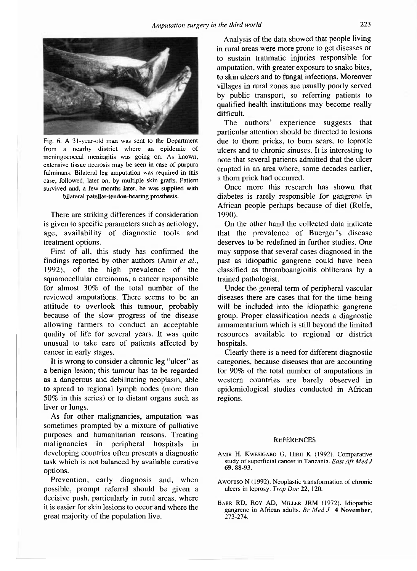

**Fig. 6. A 31-year-old man was sent to the Department from a nearby district where an epidemic of meningococcal meningitis was going on. As known, extensive tissue necrosis may be seen in case of purpura fulminans. Bilateral leg amputation was required in this case, followed, later on. by multiple skin grafts. Patient survived and, a few months later, he was supplied with bilateral patellar-tendon-bearing prosthesis.** 

There are striking differences if consideration is given to specific parameters such as aetiology, age, availability of diagnostic tools and treatment options.

First of all, this study has confirmed the findings reported by other authors (Amir *et al.,*  1992), of the high prevalence of the squamocellular carcinoma, a cancer responsible for almost 30% of the total number of the reviewed amputations. There seems to be an attitude to overlook this tumour, probably because of the slow progress of the disease allowing farmers to conduct an acceptable quality of life for several years. It was quite unusual to take care of patients affected by cancer in early stages.

It is wrong to consider a chronic leg "ulcer" as a benign lesion; this tumour has to be regarded as a dangerous and debilitating neoplasm, able to spread to regional lymph nodes (more than 50% in this series) or to distant organs such as liver or lungs.

As for other malignancies, amputation was sometimes prompted by a mixture of palliative purposes and humanitarian reasons. Treating malignancies in peripheral hospitals in developing countries often presents a diagnostic task which is not balanced by available curative options.

Prevention, early diagnosis and, when possible, prompt referral should be given a decisive push, particularly in rural areas, where it is easier for skin lesions to occur and where the great majority of the population live.

Analysis of the data showed that people living in rural areas were more prone to get diseases or to sustain traumatic injuries responsible for amputation, with greater exposure to snake bites, to skin ulcers and to fungal infections. Moreover villages in rural zones are usually poorly served by public transport, so referring patients to qualified health institutions may become really difficult.

The authors' experience suggests that particular attention should be directed to lesions due to thorn pricks, to burn scars, to leprotic ulcers and to chronic sinuses. It is interesting to note that several patients admitted that the ulcer erupted in an area where, some decades earlier, a thorn prick had occurred.

Once more this research has shown that diabetes is rarely responsible for gangrene in African people perhaps because of diet (Rolfe, 1990).

On the other hand the collected data indicate that the prevalence of Buerger's disease deserves to be redefined in further studies. One may suppose that several cases diagnosed in the past as idiopathic gangrene could have been classified as thromboangioitis obliterans by a trained pathologist.

Under the general term of peripheral vascular diseases there are cases that for the time being will be included into the idiopathic gangrene group. Proper classification needs a diagnostic armamentarium which is still beyond the limited resources available to regional or district hospitals.

Clearly there is a need for different diagnostic categories, because diseases that are accounting for 90% of the total number of amputations in western countries are barely observed in epidemiological studies conducted in African regions.

## **REFERENCES**

- **AmIR H, KWESIGABO G, HIRJI K (1992) . Comparative study of superficial cancer in Tanzania.** *East Afr Med J*  **6 9 . 88-93 .**
- **AWOFESO N (1992) , Neoplastic transformation of chronic ulcers in leprosy.** *Trop Doc* **22, 120 .**
- BARR RD, ROY AD, MILLER JRM (1972). Idiopathic **gangrene in African ad***u***lts.** *Br Med J* **4 November, 273-274 .**